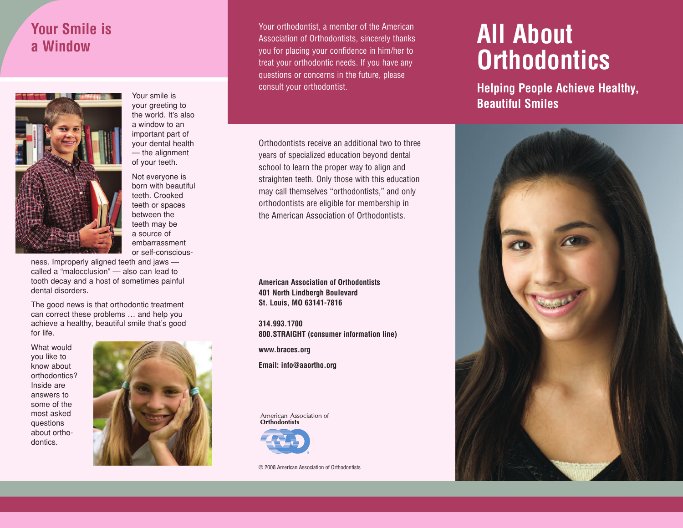## **Your Smile is a Window**



Your smile is your greeting to the world. It's also a window to an important part of your dental health — the alignment of your teeth.

Not everyone is born with beautiful teeth. Crooked teeth or spaces between the teeth may be a source of embarrassment or self-conscious-

ness. Improperly aligned teeth and jaws called a "malocclusion" — also can lead to tooth decay and a host of sometimes painful dental disorders.

The good news is that orthodontic treatment can correct these problems … and help you achieve a healthy, beautiful smile that's good for life.

What would you like to know about orthodontics? Inside are answers to some of the most asked questions about orthodontics.



Your orthodontist, a member of the American Association of Orthodontists, sincerely thanks you for placing your confidence in him/her to treat your orthodontic needs. If you have any questions or concerns in the future, please consult your orthodontist.

Orthodontists receive an additional two to three years of specialized education beyond dental school to learn the proper way to align and straighten teeth. Only those with this education may call themselves "orthodontists," and only orthodontists are eligible for membership in the American Association of Orthodontists.

**American Association of Orthodontists 401 North Lindbergh Boulevard St. Louis, MO 63141-7816**

**314.993.1700 800.STRAIGHT (consumer information line)**

**www.braces.org**

**Email: info@aaortho.org**

American Association of **Orthodontists** 



© 2008 American Association of Orthodontists

# **All About Orthodontics**

**Helping People Achieve Healthy, Beautiful Smiles**